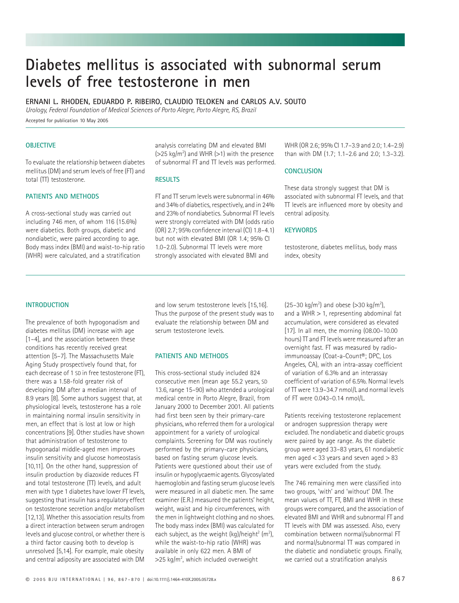# **Diabetes mellitus is associated with subnormal serum levels of free testosterone in men**

**ERNANI L. RHODEN, EDUARDO P. RIBEIRO, CLAUDIO TELOKEN and CARLOS A.V. SOUTO**

*Urology, Federal Foundation of Medical Sciences of Porto Alegre, Porto Alegre, RS, Brazil*

Accepted for publication 10 May 2005

## **OBJECTIVE**

To evaluate the relationship between diabetes mellitus (DM) and serum levels of free (FT) and total (TT) testosterone.

## **PATIENTS AND METHODS**

A cross-sectional study was carried out including 746 men, of whom 116 (15.6%) were diabetics. Both groups, diabetic and nondiabetic, were paired according to age. Body mass index (BMI) and waist-to-hip ratio (WHR) were calculated, and a stratification

analysis correlating DM and elevated BMI  $(>=25 \text{ kg/m}^2)$  and WHR  $(>=1)$  with the presence of subnormal FT and TT levels was performed.

#### **RESULTS**

FT and TT serum levels were subnormal in 46% and 34% of diabetics, respectively, and in 24% and 23% of nondiabetics. Subnormal FT levels were strongly correlated with DM (odds ratio (OR) 2.7; 95% confidence interval (CI) 1.8–4.1) but not with elevated BMI (OR 1.4; 95% CI 1.0–2.0). Subnormal TT levels were more strongly associated with elevated BMI and

WHR (OR 2.6; 95% CI 1.7–3.9 and 2.0; 1.4–2.9) than with DM (1.7; 1.1–2.6 and 2.0; 1.3–3.2).

#### **CONCLUSION**

These data strongly suggest that DM is associated with subnormal FT levels, and that TT levels are influenced more by obesity and central adiposity.

## **KEYWORDS**

testosterone, diabetes mellitus, body mass index, obesity

## **INTRODUCTION**

The prevalence of both hypogonadism and diabetes mellitus (DM) increase with age [1–4], and the association between these conditions has recently received great attention [5–7]. The Massachusetts Male Aging Study prospectively found that, for each decrease of 1 SD in free testosterone (FT), there was a 1.58-fold greater risk of developing DM after a median interval of 8.9 years [8]. Some authors suggest that, at physiological levels, testosterone has a role in maintaining normal insulin sensitivity in men, an effect that is lost at low or high concentrations [9]. Other studies have shown that administration of testosterone to hypogonadal middle-aged men improves insulin sensitivity and glucose homeostasis [10,11]. On the other hand, suppression of insulin production by diazoxide reduces FT and total testosterone (TT) levels, and adult men with type 1 diabetes have lower FT levels, suggesting that insulin has a regulatory effect on testosterone secretion and/or metabolism [12,13]. Whether this association results from a direct interaction between serum androgen levels and glucose control, or whether there is a third factor causing both to develop is unresolved [5,14]. For example, male obesity and central adiposity are associated with DM

and low serum testosterone levels [15,16]. Thus the purpose of the present study was to evaluate the relationship between DM and serum testosterone levels.

# **PATIENTS AND METHODS**

This cross-sectional study included 824 consecutive men (mean age 55.2 years, SD 13.6, range 15–90) who attended a urological medical centre in Porto Alegre, Brazil, from January 2000 to December 2001. All patients had first been seen by their primary-care physicians, who referred them for a urological appointment for a variety of urological complaints. Screening for DM was routinely performed by the primary-care physicians, based on fasting serum glucose levels. Patients were questioned about their use of insulin or hypoglycaemic agents. Glycosylated haemoglobin and fasting serum glucose levels were measured in all diabetic men. The same examiner (E.R.) measured the patients' height, weight, waist and hip circumferences, with the men in lightweight clothing and no shoes. The body mass index (BMI) was calculated for each subject, as the weight  $(kg)/$ height<sup>2</sup> (m<sup>2</sup>), while the waist-to-hip ratio (WHR) was available in only 622 men. A BMI of >25 kg/m2 , which included overweight

 $(25-30 \text{ kg/m}^2)$  and obese (>30 kg/m<sup>2</sup>), and a WHR  $> 1$ , representing abdominal fat accumulation, were considered as elevated [17]. In all men, the morning (08.00–10.00 hours) TT and FT levels were measured after an overnight fast. FT was measured by radioimmunoassay (Coat-a-Count®; DPC, Los Angeles, CA), with an intra-assay coefficient of variation of 6.3% and an interassay coefficient of variation of 6.5%. Normal levels of TT were 13.9–34.7 nmol/L and normal levels of FT were 0.043–0.14 nmol/L.

Patients receiving testosterone replacement or androgen suppression therapy were excluded. The nondiabetic and diabetic groups were paired by age range. As the diabetic group were aged 33–83 years, 61 nondiabetic men aged  $<$  33 years and seven aged  $>$  83 years were excluded from the study.

The 746 remaining men were classified into two groups, 'with' and 'without' DM. The mean values of TT, FT, BMI and WHR in these groups were compared, and the association of elevated BMI and WHR and subnormal FT and TT levels with DM was assessed. Also, every combination between normal/subnormal FT and normal/subnormal TT was compared in the diabetic and nondiabetic groups. Finally, we carried out a stratification analysis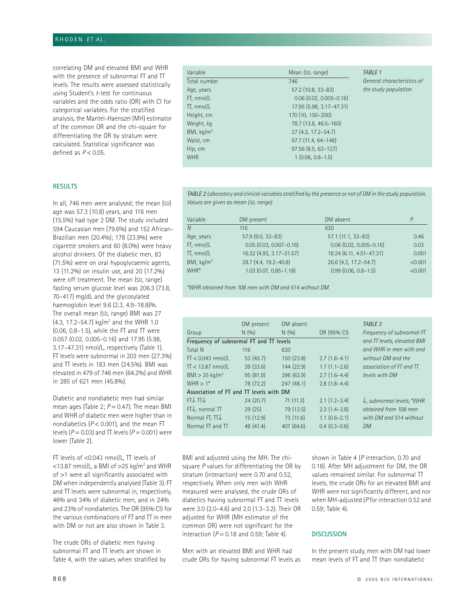# RHODEN *ET AL.*

correlating DM and elevated BMI and WHR with the presence of subnormal FT and TT levels. The results were assessed statistically using Student's *t*-test for continuous variables and the odds ratio (OR) with CI for categorical variables. For the stratified analysis, the Mantel-Haenszel (MH) estimator of the common OR and the chi-square for differentiating the OR by stratum were calculated. Statistical significance was defined as *P* < 0.05.

### **RESULTS**

In all, 746 men were analysed; the mean (SD) age was 57.3 (10.8) years, and 116 men (15.5%) had type 2 DM. The study included 594 Caucasian men (79.6%) and 152 African-Brazilian men (20.4%); 178 (23.9%) were cigarette smokers and 60 (8.0%) were heavy alcohol drinkers. Of the diabetic men, 83 (71.5%) were on oral hypoglycaemic agents, 13 (11.2%) on insulin use, and 20 (17.2%) were off treatment. The mean (SD, range) fasting serum glucose level was 206.3 (73.8, 70–417) mg/dL and the glycosylated haemoglobin level 9.6 (2.3, 4.9–18.8)%. The overall mean (SD, range) BMI was 27  $(4.3, 17.2 - 54.7)$  kg/m<sup>2</sup> and the WHR 1.0 (0.06, 0.8–1.5), while the FT and TT were 0.057 (0.02, 0.005–0.16) and 17.95 (5.98, 3.17–47.31) nmol/L, respectively (Table 1). FT levels were subnormal in 203 men (27.3%) and TT levels in 183 men (24.5%). BMI was elevated in 479 of 746 men (64.2%) and WHR in 285 of 621 men (45.8%).

Diabetic and nondiabetic men had similar mean ages (Table 2;  $P = 0.47$ ). The mean BMI and WHR of diabetic men were higher than in nondiabetics ( $P$  < 0.001), and the mean FT levels ( $P = 0.03$ ) and TT levels ( $P = 0.001$ ) were lower (Table 2).

FT levels of <0.043 nmol/L, TT levels of  $<$ 13.87 nmol/L, a BMI of >25 kg/m<sup>2</sup> and WHR of >1 were all significantly associated with DM when independently analysed (Table 3). FT and TT levels were subnormal in, respectively, 46% and 34% of diabetic men, and in 24% and 23% of nondiabetics. The OR (95% CI) for the various combinations of FT and TT in men with DM or not are also shown in Table 3.

The crude ORs of diabetic men having subnormal FT and TT levels are shown in Table 4, with the values when stratified by

| Variable             | Mean (SD, range)              | <b>TABLE 1</b>             |
|----------------------|-------------------------------|----------------------------|
| Total number         | 746                           | General characteristics of |
| Age, years           | 57.2 (10.8, 33-83)            | the study population       |
| FT, nmol/L           | $0.06$ $(0.02, 0.005 - 0.16)$ |                            |
| TT, nmol/L           | 17.95 (5.98, 3.17-47.31)      |                            |
| Height, cm           | 170 (10, 150-200)             |                            |
| Weight, kg           | 78.7 (13.8, 46.5-160)         |                            |
| BMI, $\text{kg/m}^2$ | 27 (4.3, 17.2-54.7)           |                            |
| Waist, cm            | 97.7 (11.4, 64-148)           |                            |
| Hip, cm              | $97.56$ (8.5, 63-127)         |                            |
| <b>WHR</b>           | $1(0.06, 0.8 - 1.5)$          |                            |

*TABLE 2 Laboratory and clinical variables stratified by the presence or not of DM in the study population. Values are given as mean (SD, range)*

| Variable             | DM present                    | DM absent                     | P       |
|----------------------|-------------------------------|-------------------------------|---------|
| $\overline{N}$       | 116                           | 630                           |         |
| Age, years           | $57.9$ (9.0, 33-83)           | $57.1(11.1, 33-83)$           | 0.46    |
| FT, nmol/L           | $0.05$ $(0.03, 0.007 - 0.16)$ | $0.06$ $(0.02, 0.005 - 0.16)$ | 0.03    |
| TT, nmol/L           | 16.32 (4.93, 3.17-31.57)      | 18.24 (6.11, 4.51-47.31)      | 0.001   |
| BMI, $\text{kg/m}^2$ | 28.7 (4.4, 19.2-40.8)         | 26.6 (4.3, 17.2-54.7)         | < 0.001 |
| WHR*                 | $1.03$ (0.07, 0.85-1.18)      | $0.99$ (0.06, 0.8-1.5)        | < 0.001 |

*\*WHR obtained from 108 men with DM and 514 without DM*

|                                         | DM present                  | DM absent  |                   | TABLE 3                               |  |  |  |
|-----------------------------------------|-----------------------------|------------|-------------------|---------------------------------------|--|--|--|
| Group                                   | N(9/0)                      | N(9/0)     | OR (95% CI)       | Frequency of subnormal FT             |  |  |  |
| Frequency of subnormal FT and TT levels | and TT levels, elevated BMI |            |                   |                                       |  |  |  |
| Total N                                 | 116                         | 630        |                   | and WHR in men with and               |  |  |  |
| $FT < 0.043$ nmol/L                     | 53(45.7)                    | 150 (23.8) | $2.7(1.8-4.1)$    | without DM and the                    |  |  |  |
| $\Pi$ < 13.87 nmol/L                    | 39(33.6)                    | 144 (22.9) | $1.7(1.1-2.6)$    | association of FT and TT              |  |  |  |
| $BMI > 25$ kg/m <sup>2</sup>            | 95(81.9)                    | 396 (62.9) | $2.7(1.6-4.4)$    | levels with DM                        |  |  |  |
| $WHR > 1*$                              | 78 (72.2)                   | 247(48.1)  | $2.8(1.8-4.4)$    |                                       |  |  |  |
| Association of FT and TT levels with DM |                             |            |                   |                                       |  |  |  |
| $FT^{\uparrow}TT^{\uparrow}$            | 24(20.7)                    | 71(11.3)   | $2.1(1.2-3.4)$    | $\downarrow$ , subnormal levels; *WHR |  |  |  |
| $FT\downarrow$ , normal TT              | 29(25)                      | 79 (12.5)  | $2.3(1.4-3.8)$    | obtained from 108 men                 |  |  |  |
| Normal FT, $\Pi\downarrow$              | 15(12.9)                    | 73 (11.6)  | $1.1$ $(0.6-2.1)$ | with DM and 514 without               |  |  |  |
| Normal FT and TT                        | 48 (41.4)                   | 407(64.6)  | $0.4(0.3-0.6)$    | <b>DM</b>                             |  |  |  |
|                                         |                             |            |                   |                                       |  |  |  |

BMI and adjusted using the MH. The chisquare *P* values for differentiating the OR by stratum (interaction) were 0.70 and 0.52, respectively. When only men with WHR measured were analysed, the crude ORs of diabetics having subnormal FT and TT levels were 3.0 (2.0–4.6) and 2.0 (1.3–3.2). Their OR adjusted for WHR (MH estimator of the common OR) were not significant for the interaction  $(P = 0.18$  and 0.59; Table 4).

Men with an elevated BMI and WHR had crude ORs for having subnormal FT levels as

shown in Table 4 (*P* interaction, 0.70 and 0.18). After MH adjustment for DM, the OR values remained similar. For subnormal TT levels, the crude ORs for an elevated BMI and WHR were not significantly different, and nor when MH-adjusted (*P* for interaction 0.52 and 0.59; Table 4).

## **DISCUSSION**

In the present study, men with DM had lower mean levels of FT and TT than nondiabetic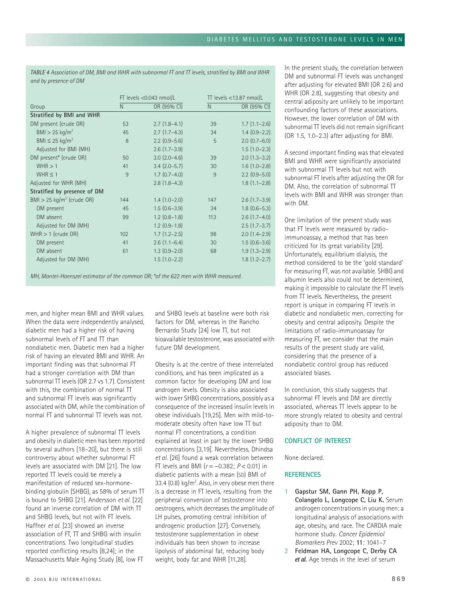*TABLE 4 Association of DM, BMI and WHR with subnormal FT and TT levels, stratified by BMI and WHR and by presence of DM*

|                                         | FT levels <0.043 nmol/L |                   | $\Pi$ levels <13.87 nmol/L |                   |
|-----------------------------------------|-------------------------|-------------------|----------------------------|-------------------|
| Group                                   | N                       | OR (95% CI)       | N                          | OR (95% CI)       |
| Stratified by BMI and WHR               |                         |                   |                            |                   |
| DM present (crude OR)                   | 53                      | $2.7(1.8-4.1)$    | 39                         | $1.7(1.1-2.6)$    |
| $BMI > 25$ kg/m <sup>2</sup>            | 45                      | $2.7(1.7-4.3)$    | 34                         | $1.4(0.9-2.2)$    |
| BMI $\leq$ 25 kg/m <sup>2</sup>         | 8                       | $2.2$ (0.9-5.6)   | 5                          | $2.0$ $(0.7-6.0)$ |
| Adjusted for BMI (MH)                   |                         | $2.6$ $(1.7-3.9)$ |                            | $1.5(1.0-2.3)$    |
| DM present* (crude OR)                  | 50                      | $3.0$ $(2.0-4.6)$ | 39                         | $2.0$ $(1.3-3.2)$ |
| WHR > 1                                 | 41                      | $3.4$ (2.0-5.7)   | 30                         | $1.6(1.0-2.8)$    |
| WHR $\leq$ 1                            | 9                       | $1.7(0.7-4.0)$    | 9                          | $2.2$ (0.9-5.0)   |
| Adjusted for WHR (MH)                   |                         | $2.8(1.8-4.3)$    |                            | $1.8(1.1-2.8)$    |
| Stratified by presence of DM            |                         |                   |                            |                   |
| $BMI > 25$ kg/m <sup>2</sup> (crude OR) | 144                     | $1.4(1.0-2.0)$    | 147                        | $2.6$ (1.7–3.9)   |
| DM present                              | 45                      | $1.5(0.6-3.9)$    | 34                         | $1.8$ $(0.6-5.3)$ |
| DM absent                               | 99                      | $1.2$ $(0.8-1.8)$ | 113                        | $2.6$ $(1.7-4.0)$ |
| Adjusted for DM (MH)                    |                         | $1.2$ $(0.9-1.8)$ |                            | $2.5(1.7-3.7)$    |
| $WHR > 1$ (crude OR)                    | 102                     | $1.7(1.2-2.5)$    | 98                         | $2.0$ $(1.4-2.9)$ |
| DM present                              | 41                      | $2.6$ $(1.1-6.4)$ | 30                         | $1.5(0.6-3.6)$    |
| DM absent                               | 61                      | $1.3(0.9-2.0)$    | 68                         | $1.9(1.3-2.9)$    |
| Adjusted for DM (MH)                    |                         | $1.5(1.0-2.2)$    |                            | $1.8(1.2 - 2.7)$  |

*MH, Mantel-Haenszel estimator of the common OR; \*of the 622 men with WHR measured.*

men, and higher mean BMI and WHR values. When the data were independently analysed, diabetic men had a higher risk of having subnormal levels of FT and TT than nondiabetic men. Diabetic men had a higher risk of having an elevated BMI and WHR. An important finding was that subnormal FT had a stronger correlation with DM than subnormal TT levels (OR 2.7 vs 1.7). Consistent with this, the combination of normal TT and subnormal FT levels was significantly associated with DM, while the combination of normal  $FT$  and subnormal  $TT$  levels was not.

A higher prevalence of subnormal TT levels and obesity in diabetic men has been reported by several authors [18–20], but there is still controversy about whether subnormal FT levels are associated with DM [21]. The low reported TT levels could be merely a manifestation of reduced sex-hormonebinding globulin (SHBG), as 58% of serum  $\Pi$ is bound to SHBG [21]. Andersson *et al.* [22] found an inverse correlation of DM with TT and SHBG levels, but not with FT levels. Haffner *et al.* [23] showed an inverse association of FT, TT and SHBG with insulin concentrations. Two longitudinal studies reported conflicting results [8,24]; in the Massachusetts Male Aging Study [8], low FT

and SHBG levels at baseline were both risk factors for DM, whereas in the Rancho Bernardo Study [24] low TT, but not bioavailable testosterone, was associated with future DM development.

Obesity is at the centre of these interrelated conditions, and has been implicated as a common factor for developing DM and low androgen levels. Obesity is also associated with lower SHBG concentrations, possibly as a consequence of the increased insulin levels in obese individuals [19,25]. Men with mild-tomoderate obesity often have low TT but normal FT concentrations, a condition explained at least in part by the lower SHBG concentrations [3,19]. Nevertheless, Dhindsa *et al.* [26] found a weak correlation between FT levels and BMI  $(r = -0.382; P < 0.01)$  in diabetic patients with a mean (SD) BMI of 33.4  $(0.8)$  kg/m<sup>2</sup>. Also, in very obese men there is a decrease in FT levels, resulting from the peripheral conversion of testosterone into oestrogens, which decreases the amplitude of LH pulses, promoting central inhibition of androgenic production [27]. Conversely, testosterone supplementation in obese individuals has been shown to increase lipolysis of abdominal fat, reducing body weight, body fat and WHR [11,28].

In the present study, the correlation between DM and subnormal FT levels was unchanged after adjusting for elevated BMI (OR 2.6) and WHR (OR 2.8), suggesting that obesity and central adiposity are unlikely to be important confounding factors of these associations. However, the lower correlation of DM with subnormal TT levels did not remain significant (OR 1.5, 1.0–2.3) after adjusting for BMI.

A second important finding was that elevated BMI and WHR were significantly associated with subnormal TT levels but not with subnormal FT levels after adjusting the OR for DM. Also, the correlation of subnormal TT levels with BMI and WHR was stronger than with DM.

One limitation of the present study was that FT levels were measured by radioimmunoassay, a method that has been criticized for its great variability [29]. Unfortunately, equilibrium dialysis, the method considered to be the 'gold standard' for measuring FT, was not available. SHBG and albumin levels also could not be determined, making it impossible to calculate the FT levels from TT levels. Nevertheless, the present report is unique in comparing FT levels in diabetic and nondiabetic men, correcting for obesity and central adiposity. Despite the limitations of radio-immunoassay for measuring FT, we consider that the main results of the present study are valid, considering that the presence of a nondiabetic control group has reduced associated biases.

In conclusion, this study suggests that subnormal FT levels and DM are directly associated, whereas TT levels appear to be more strongly related to obesity and central adiposity than to DM.

# **CONFLICT OF INTEREST**

None declared.

### **REFERENCES**

- 1 **Gapstur SM, Gann PH, Kopp P, Colangelo L, Longcope C, Liu K.** Serum androgen concentrations in young men: a longitudinal analysis of associations with age, obesity, and race. The CARDIA male hormone study. *Cancer Epidemiol Biomarkers Prev* 2002; **11**: 1041–7
- 2 **Feldman HA, Longcope C, Derby CA**  et al. Age trends in the level of serum